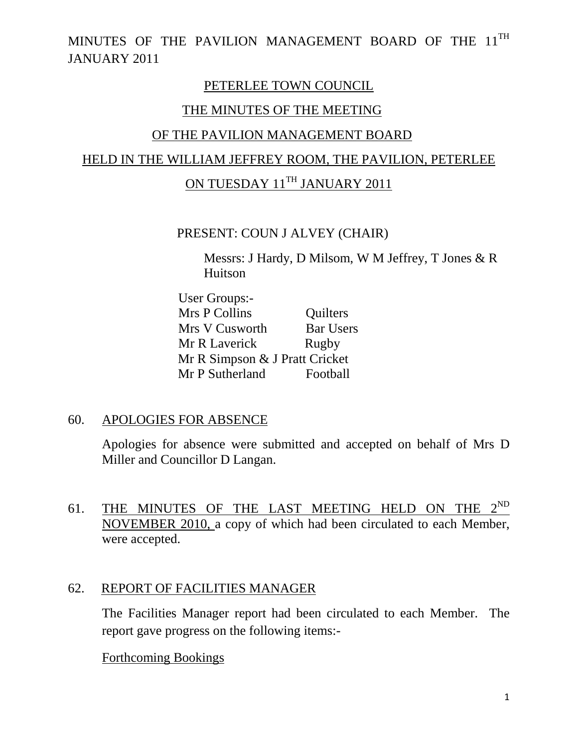#### PETERLEE TOWN COUNCIL

#### THE MINUTES OF THE MEETING

#### OF THE PAVILION MANAGEMENT BOARD

# HELD IN THE WILLIAM JEFFREY ROOM, THE PAVILION, PETERLEE

# ON TUESDAY 11<sup>TH</sup> JANUARY 2011

#### PRESENT: COUN J ALVEY (CHAIR)

Messrs: J Hardy, D Milsom, W M Jeffrey, T Jones & R Huitson

 User Groups:- Mrs P Collins Cuilters Mrs V Cusworth Bar Users Mr R Laverick Rugby Mr R Simpson & J Pratt Cricket Mr P Sutherland Football

#### 60. APOLOGIES FOR ABSENCE

Apologies for absence were submitted and accepted on behalf of Mrs D Miller and Councillor D Langan.

61. THE MINUTES OF THE LAST MEETING HELD ON THE  $2^{ND}$ NOVEMBER 2010, a copy of which had been circulated to each Member, were accepted.

#### 62. REPORT OF FACILITIES MANAGER

The Facilities Manager report had been circulated to each Member. The report gave progress on the following items:-

#### Forthcoming Bookings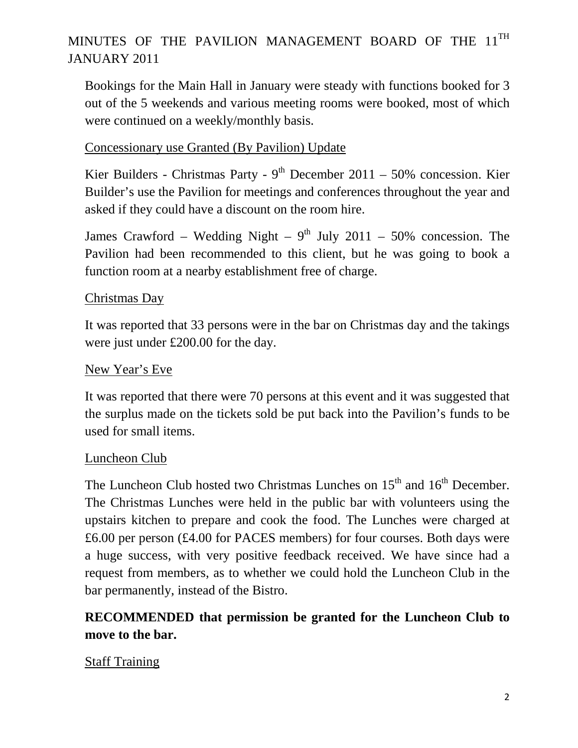Bookings for the Main Hall in January were steady with functions booked for 3 out of the 5 weekends and various meeting rooms were booked, most of which were continued on a weekly/monthly basis.

#### Concessionary use Granted (By Pavilion) Update

Kier Builders - Christmas Party -  $9<sup>th</sup>$  December 2011 – 50% concession. Kier Builder's use the Pavilion for meetings and conferences throughout the year and asked if they could have a discount on the room hire.

James Crawford – Wedding Night –  $9<sup>th</sup>$  July 2011 – 50% concession. The Pavilion had been recommended to this client, but he was going to book a function room at a nearby establishment free of charge.

#### Christmas Day

It was reported that 33 persons were in the bar on Christmas day and the takings were just under £200.00 for the day.

#### New Year's Eve

It was reported that there were 70 persons at this event and it was suggested that the surplus made on the tickets sold be put back into the Pavilion's funds to be used for small items.

#### Luncheon Club

The Luncheon Club hosted two Christmas Lunches on  $15<sup>th</sup>$  and  $16<sup>th</sup>$  December. The Christmas Lunches were held in the public bar with volunteers using the upstairs kitchen to prepare and cook the food. The Lunches were charged at £6.00 per person (£4.00 for PACES members) for four courses. Both days were a huge success, with very positive feedback received. We have since had a request from members, as to whether we could hold the Luncheon Club in the bar permanently, instead of the Bistro.

# **RECOMMENDED that permission be granted for the Luncheon Club to move to the bar.**

## Staff Training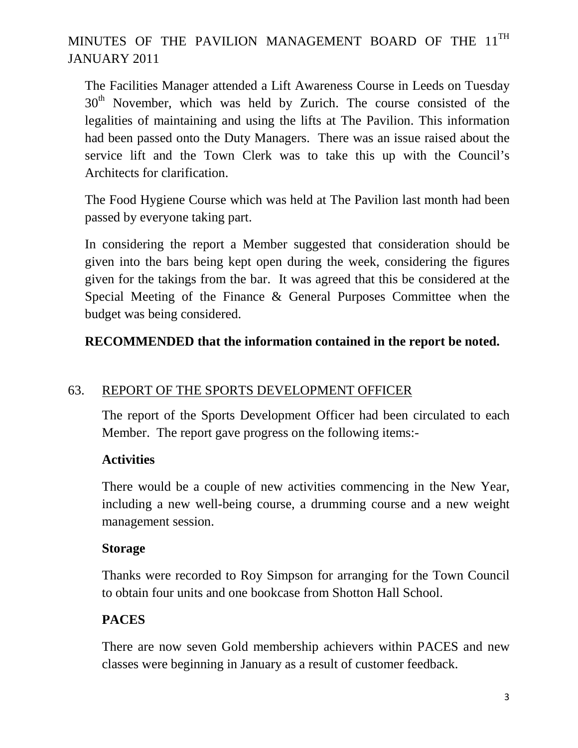The Facilities Manager attended a Lift Awareness Course in Leeds on Tuesday  $30<sup>th</sup>$  November, which was held by Zurich. The course consisted of the legalities of maintaining and using the lifts at The Pavilion. This information had been passed onto the Duty Managers. There was an issue raised about the service lift and the Town Clerk was to take this up with the Council's Architects for clarification.

The Food Hygiene Course which was held at The Pavilion last month had been passed by everyone taking part.

In considering the report a Member suggested that consideration should be given into the bars being kept open during the week, considering the figures given for the takings from the bar. It was agreed that this be considered at the Special Meeting of the Finance & General Purposes Committee when the budget was being considered.

# **RECOMMENDED that the information contained in the report be noted.**

## 63. REPORT OF THE SPORTS DEVELOPMENT OFFICER

The report of the Sports Development Officer had been circulated to each Member. The report gave progress on the following items:-

## **Activities**

There would be a couple of new activities commencing in the New Year, including a new well-being course, a drumming course and a new weight management session.

#### **Storage**

Thanks were recorded to Roy Simpson for arranging for the Town Council to obtain four units and one bookcase from Shotton Hall School.

## **PACES**

There are now seven Gold membership achievers within PACES and new classes were beginning in January as a result of customer feedback.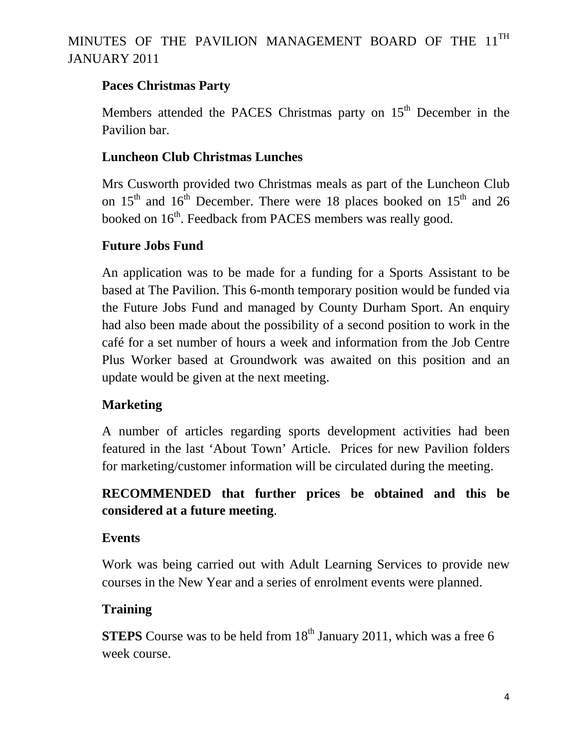## **Paces Christmas Party**

Members attended the PACES Christmas party on 15<sup>th</sup> December in the Pavilion bar.

## **Luncheon Club Christmas Lunches**

Mrs Cusworth provided two Christmas meals as part of the Luncheon Club on  $15<sup>th</sup>$  and  $16<sup>th</sup>$  December. There were 18 places booked on  $15<sup>th</sup>$  and 26 booked on 16<sup>th</sup>. Feedback from PACES members was really good.

## **Future Jobs Fund**

An application was to be made for a funding for a Sports Assistant to be based at The Pavilion. This 6-month temporary position would be funded via the Future Jobs Fund and managed by County Durham Sport. An enquiry had also been made about the possibility of a second position to work in the café for a set number of hours a week and information from the Job Centre Plus Worker based at Groundwork was awaited on this position and an update would be given at the next meeting.

## **Marketing**

A number of articles regarding sports development activities had been featured in the last 'About Town' Article. Prices for new Pavilion folders for marketing/customer information will be circulated during the meeting.

## **RECOMMENDED that further prices be obtained and this be considered at a future meeting**.

## **Events**

Work was being carried out with Adult Learning Services to provide new courses in the New Year and a series of enrolment events were planned.

## **Training**

**STEPS** Course was to be held from 18<sup>th</sup> January 2011, which was a free 6 week course.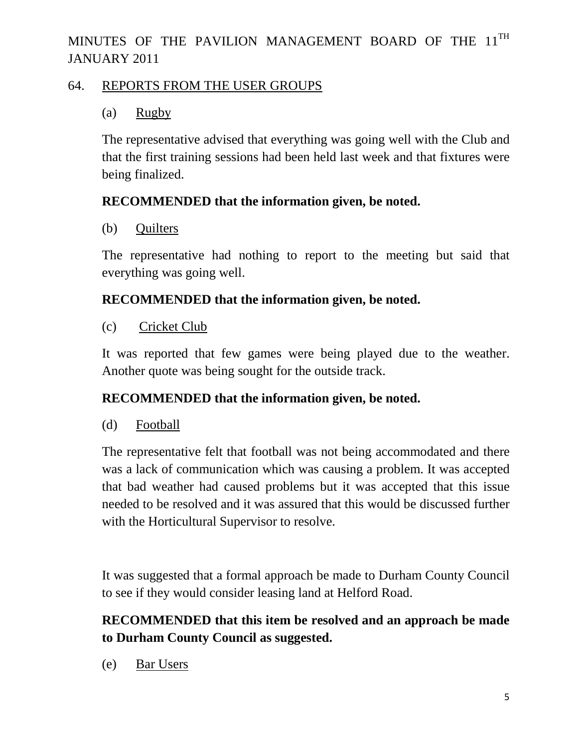#### 64. REPORTS FROM THE USER GROUPS

## (a) Rugby

The representative advised that everything was going well with the Club and that the first training sessions had been held last week and that fixtures were being finalized.

## **RECOMMENDED that the information given, be noted.**

(b) Quilters

The representative had nothing to report to the meeting but said that everything was going well.

## **RECOMMENDED that the information given, be noted.**

(c) Cricket Club

It was reported that few games were being played due to the weather. Another quote was being sought for the outside track.

## **RECOMMENDED that the information given, be noted.**

(d) Football

The representative felt that football was not being accommodated and there was a lack of communication which was causing a problem. It was accepted that bad weather had caused problems but it was accepted that this issue needed to be resolved and it was assured that this would be discussed further with the Horticultural Supervisor to resolve.

It was suggested that a formal approach be made to Durham County Council to see if they would consider leasing land at Helford Road.

# **RECOMMENDED that this item be resolved and an approach be made to Durham County Council as suggested.**

(e) Bar Users